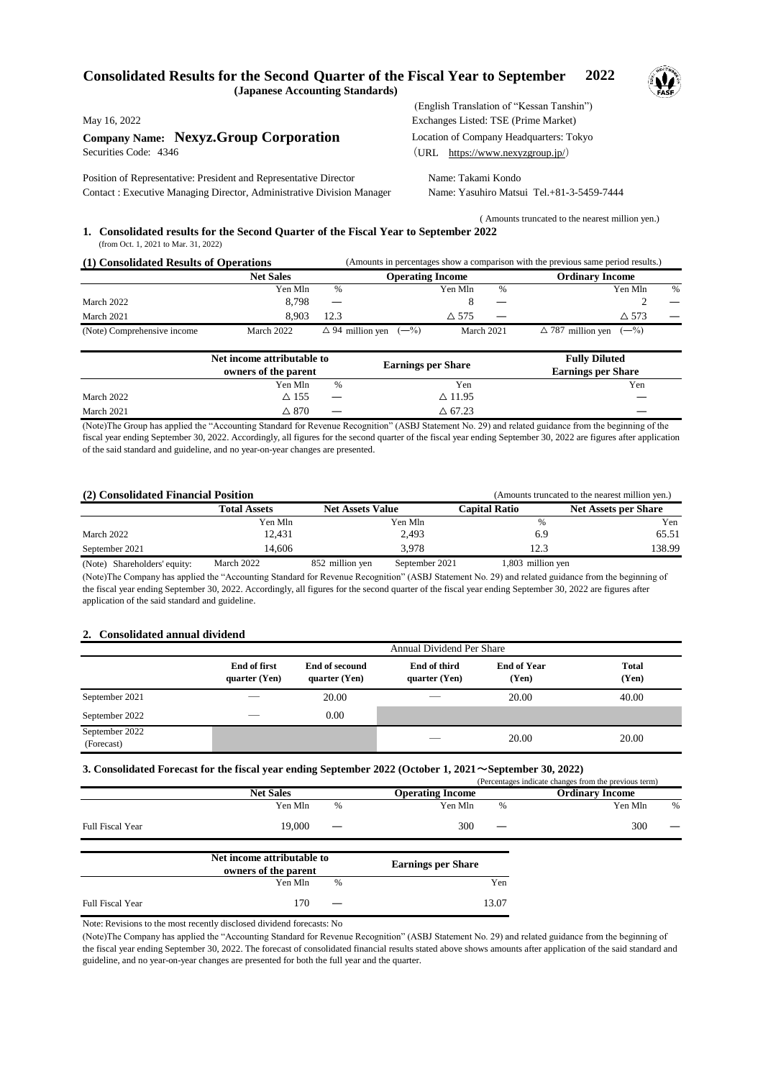## **Consolidated Results for the Second Quarter of the Fiscal Year to September 2022 (Japanese Accounting Standards)**



**Company Name: Nexyz.Group Corporation** Location of Company Headquarters: Tokyo Securities Code: 4346 (URL https://www.nexyzgroup.jp/)

Position of Representative: President and Representative Director Name: Takami Kondo Contact : Executive Managing Director, Administrative Division Manager Name: Yasuhiro Matsui Tel.+81-3-5459-7444

 (English Translation of "Kessan Tanshin") May 16, 2022 Exchanges Listed: TSE (Prime Market)

 ( Amounts truncated to the nearest million yen.) **1. Consolidated results for the Second Quarter of the Fiscal Year to September 2022** (from Oct. 1, 2021 to Mar. 31, 2022)

| (1) Consolidated Results of Operations |                  | (Amounts in percentages show a comparison with the previous same period results.) |                         |                   |                                     |      |
|----------------------------------------|------------------|-----------------------------------------------------------------------------------|-------------------------|-------------------|-------------------------------------|------|
|                                        | <b>Net Sales</b> |                                                                                   | <b>Operating Income</b> |                   | Ordinary Income                     |      |
|                                        | Yen Mln          | $\%$                                                                              | Yen Mln                 | $\%$              | Yen Mln                             | $\%$ |
| March 2022                             | 8.798            |                                                                                   |                         | $\hspace{0.05cm}$ |                                     |      |
| March 2021                             | 8.903            | 12.3                                                                              | $\triangle$ 575         |                   | $\triangle$ 573                     |      |
| (Note) Comprehensive income            | March 2022       | $\triangle$ 94 million yen $(-\%)$                                                |                         | March 2021        | $\triangle$ 787 million yen $(-\%)$ |      |

|            | Net income attributable to<br>owners of the parent |                          | <b>Earnings per Share</b> | <b>Fully Diluted</b><br><b>Earnings per Share</b> |
|------------|----------------------------------------------------|--------------------------|---------------------------|---------------------------------------------------|
|            | Yen Mln                                            | %                        | Yen                       | Yen                                               |
| March 2022 | $\Delta$ 155                                       | $\overline{\phantom{m}}$ | $\triangle$ 11.95         |                                                   |
| March 2021 | $\vartriangle$ 870                                 | $\hspace{0.05cm}$        | $\triangle$ 67.23         | $\overline{\phantom{a}}$                          |

(Note)The Group has applied the "Accounting Standard for Revenue Recognition" (ASBJ Statement No. 29) and related guidance from the beginning of the fiscal year ending September 30, 2022. Accordingly, all figures for the second quarter of the fiscal year ending September 30, 2022 are figures after application of the said standard and guideline, and no year-on-year changes are presented.

| (2) Consolidated Financial Position<br>(Amounts truncated to the nearest million yen.) |                     |                         |                |                      |                             |
|----------------------------------------------------------------------------------------|---------------------|-------------------------|----------------|----------------------|-----------------------------|
|                                                                                        | <b>Total Assets</b> | <b>Net Assets Value</b> |                | <b>Capital Ratio</b> | <b>Net Assets per Share</b> |
|                                                                                        | Yen Mln             |                         | Yen Mln        | %                    | Yen                         |
| March 2022                                                                             | 12,431              |                         | 2,493          | 6.9                  | 65.51                       |
| September 2021                                                                         | 14.606              |                         | 3.978          | 12.3                 | 138.99                      |
| (Note) Shareholders' equity:                                                           | March 2022          | 852 million yen         | September 2021 | 1,803 million yen    |                             |

(Note)The Company has applied the "Accounting Standard for Revenue Recognition" (ASBJ Statement No. 29) and related guidance from the beginning of the fiscal year ending September 30, 2022. Accordingly, all figures for the second quarter of the fiscal year ending September 30, 2022 are figures after application of the said standard and guideline.

## **2. Consolidated annual dividend**

|                              | Annual Dividend Per Share       |                                   |                               |                             |                       |
|------------------------------|---------------------------------|-----------------------------------|-------------------------------|-----------------------------|-----------------------|
|                              | End of first<br>quarter $(Yen)$ | End of secound<br>quarter $(Yen)$ | End of third<br>quarter (Yen) | <b>End of Year</b><br>(Yen) | <b>Total</b><br>(Yen) |
| September 2021               |                                 | 20.00                             |                               | 20.00                       | 40.00                 |
| September 2022               |                                 | 0.00                              |                               |                             |                       |
| September 2022<br>(Forecast) |                                 |                                   |                               | 20.00                       | 20.00                 |

## **3. Consolidated Forecast for the fiscal year ending September 2022 (October 1, 2021**~**September 30, 2022)**

|                  |                            |                   |                                                                                                                                                                                                                                |   | (Percentages indicate changes from the previous term) |                   |
|------------------|----------------------------|-------------------|--------------------------------------------------------------------------------------------------------------------------------------------------------------------------------------------------------------------------------|---|-------------------------------------------------------|-------------------|
|                  | <b>Net Sales</b>           |                   | <b>Operating Income</b>                                                                                                                                                                                                        |   | <b>Ordinary Income</b>                                |                   |
|                  | Yen Mln                    | %                 | Yen Mln                                                                                                                                                                                                                        | % | Yen Mln                                               | $\%$              |
| Full Fiscal Year | 19.000                     | $\hspace{0.05cm}$ | 300                                                                                                                                                                                                                            |   | 300                                                   | $\hspace{0.05cm}$ |
|                  | Net income attributable to |                   | $1.11$ . $1.11$ . $1.11$ . $1.11$ . $1.11$ . $1.11$ . $1.11$ . $1.11$ . $1.11$ . $1.11$ . $1.11$ . $1.11$ . $1.11$ . $1.11$ . $1.11$ . $1.11$ . $1.11$ . $1.11$ . $1.11$ . $1.11$ . $1.11$ . $1.11$ . $1.11$ . $1.11$ . $1.11$ |   |                                                       |                   |

|                  | Tel meome auribulable to |                          | <b>Earnings per Share</b> |
|------------------|--------------------------|--------------------------|---------------------------|
|                  | owners of the parent     |                          |                           |
|                  | Yen Mln                  | %                        | Yen                       |
| Full Fiscal Year | 170                      | $\overline{\phantom{m}}$ | 13.07                     |

Note: Revisions to the most recently disclosed dividend forecasts: No

(Note)The Company has applied the "Accounting Standard for Revenue Recognition" (ASBJ Statement No. 29) and related guidance from the beginning of the fiscal year ending September 30, 2022. The forecast of consolidated financial results stated above shows amounts after application of the said standard and guideline, and no year-on-year changes are presented for both the full year and the quarter.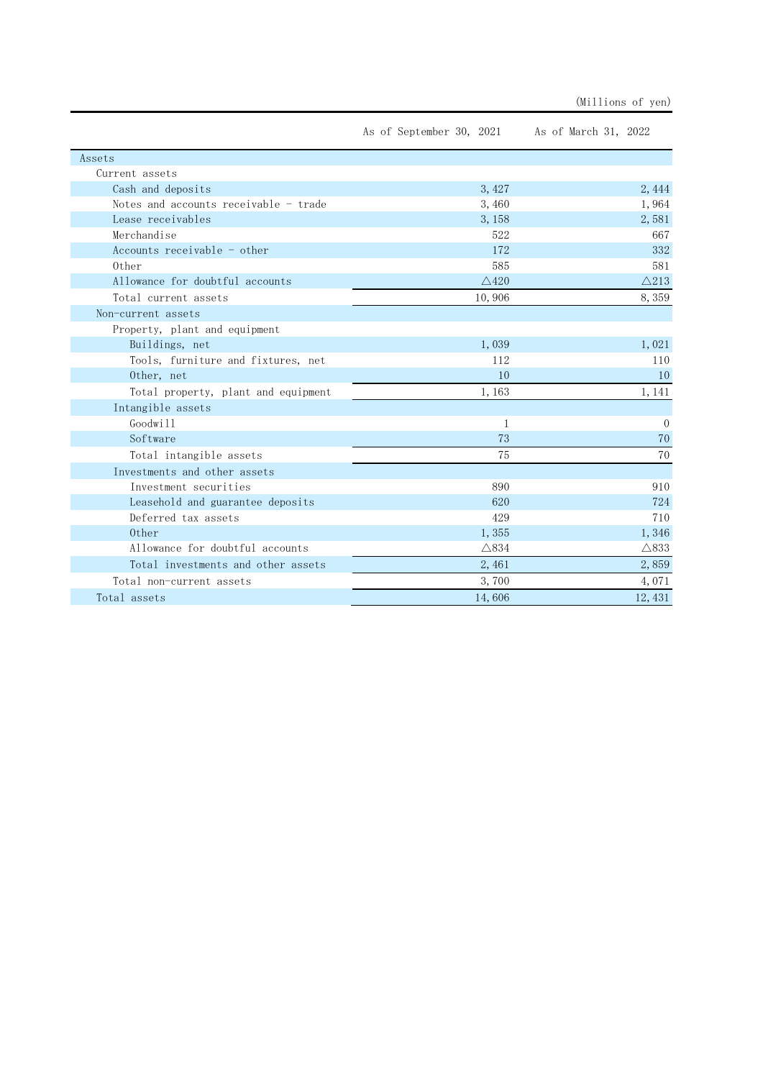|                                       | As of September 30, 2021 As of March 31, 2022 |                 |
|---------------------------------------|-----------------------------------------------|-----------------|
| Assets                                |                                               |                 |
| Current assets                        |                                               |                 |
| Cash and deposits                     | 3,427                                         | 2,444           |
| Notes and accounts receivable - trade | 3,460                                         | 1,964           |
| Lease receivables                     | 3,158                                         | 2,581           |
| Merchandise                           | 522                                           | 667             |
| Accounts receivable - other           | 172                                           | 332             |
| 0ther                                 | 585                                           | 581             |
| Allowance for doubtful accounts       | $\triangle$ 420                               | $\triangle$ 213 |
| Total current assets                  | 10,906                                        | 8,359           |
| Non-current assets                    |                                               |                 |
| Property, plant and equipment         |                                               |                 |
| Buildings, net                        | 1,039                                         | 1,021           |
| Tools, furniture and fixtures, net    | 112                                           | 110             |
| Other, net                            | 10                                            | 10              |
| Total property, plant and equipment   | 1,163                                         | 1, 141          |
| Intangible assets                     |                                               |                 |
| Goodwill                              | 1                                             | $\Omega$        |
| Software                              | 73                                            | 70              |
| Total intangible assets               | 75                                            | 70              |
| Investments and other assets          |                                               |                 |
| Investment securities                 | 890                                           | 910             |
| Leasehold and guarantee deposits      | 620                                           | 724             |
| Deferred tax assets                   | 429                                           | 710             |
| 0ther                                 | 1,355                                         | 1,346           |
| Allowance for doubtful accounts       | $\triangle$ 834                               | $\triangle$ 833 |
| Total investments and other assets    | 2,461                                         | 2,859           |
| Total non-current assets              | 3,700                                         | 4,071           |
| Total assets                          | 14,606                                        | 12, 431         |

(Millions of yen)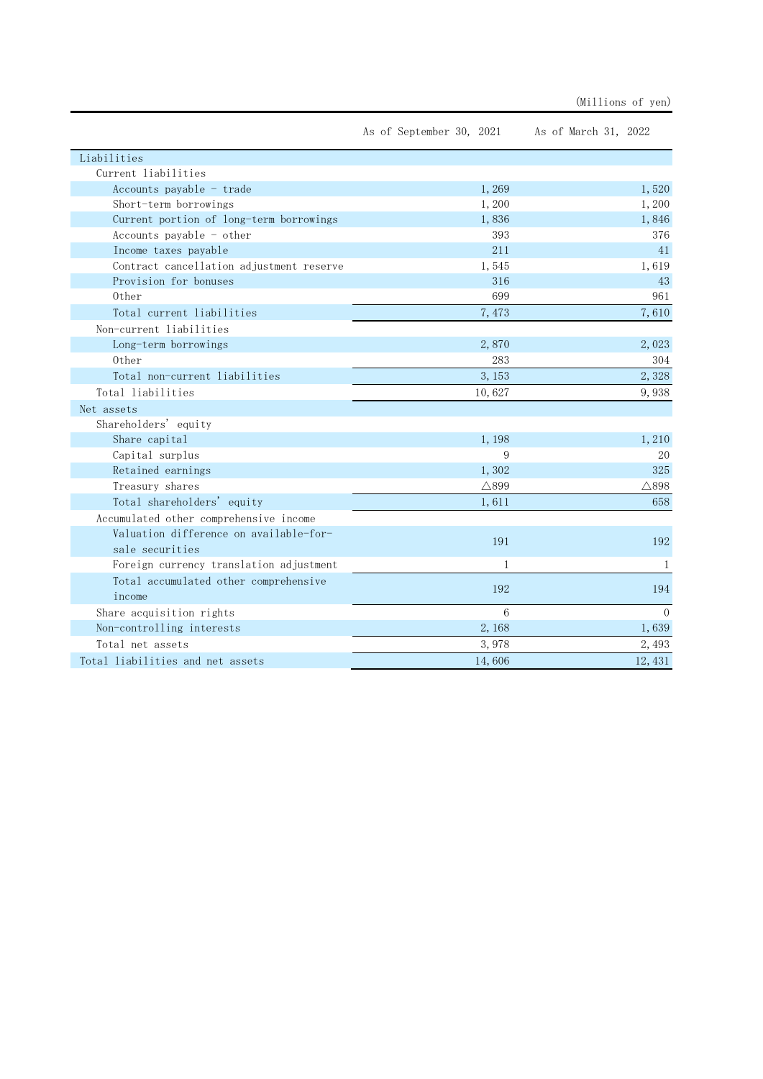| (Millions of | ven) |
|--------------|------|
|              |      |

|                                          | As of September 30, 2021 | As of March 31, 2022 |
|------------------------------------------|--------------------------|----------------------|
| Liabilities                              |                          |                      |
| Current liabilities                      |                          |                      |
| Accounts payable - trade                 | 1,269                    | 1,520                |
| Short-term borrowings                    | 1,200                    | 1,200                |
| Current portion of long-term borrowings  | 1,836                    | 1,846                |
| Accounts payable - other                 | 393                      | 376                  |
| Income taxes payable                     | 211                      | 41                   |
| Contract cancellation adjustment reserve | 1,545                    | 1,619                |
| Provision for bonuses                    | 316                      | 43                   |
| Other                                    | 699                      | 961                  |
| Total current liabilities                | 7,473                    | 7,610                |
| Non-current liabilities                  |                          |                      |
| Long-term borrowings                     | 2,870                    | 2,023                |
| Other                                    | 283                      | 304                  |
| Total non-current liabilities            | 3, 153                   | 2,328                |
| Total liabilities                        | 10,627                   | 9,938                |
| Net assets                               |                          |                      |
| Shareholders' equity                     |                          |                      |
| Share capital                            | 1,198                    | 1,210                |
| Capital surplus                          | 9                        | 20                   |
| Retained earnings                        | 1,302                    | 325                  |
| Treasury shares                          | $\triangle$ 899          | $\triangle$ 898      |
| Total shareholders' equity               | 1,611                    | 658                  |
| Accumulated other comprehensive income   |                          |                      |
| Valuation difference on available-for-   | 191                      | 192                  |
| sale securities                          |                          |                      |
| Foreign currency translation adjustment  | 1                        | 1                    |
| Total accumulated other comprehensive    | 192                      | 194                  |
| income                                   |                          |                      |
| Share acquisition rights                 | 6                        | $\Omega$             |
| Non-controlling interests                | 2,168                    | 1,639                |
| Total net assets                         | 3,978                    | 2.493                |
| Total liabilities and net assets         | 14,606                   | 12, 431              |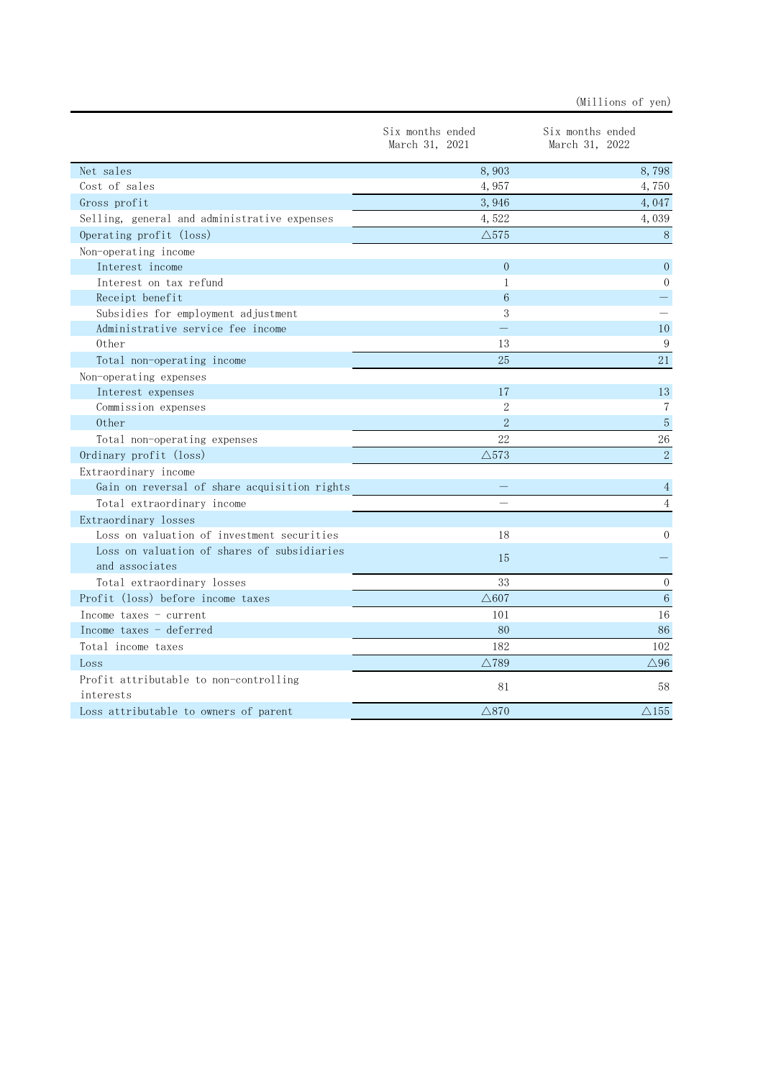|                                              | Six months ended<br>March 31, 2021 | Six months ended<br>March 31, 2022 |
|----------------------------------------------|------------------------------------|------------------------------------|
| Net sales                                    | 8,903                              | 8,798                              |
| Cost of sales                                | 4,957                              | 4,750                              |
| Gross profit                                 | 3,946                              | 4,047                              |
| Selling, general and administrative expenses | 4,522                              | 4,039                              |
| Operating profit (loss)                      | $\triangle$ 575                    | $\, 8$                             |
| Non-operating income                         |                                    |                                    |
| Interest income                              | $\Omega$                           | $\overline{0}$                     |
| Interest on tax refund                       | 1                                  | $\Omega$                           |
| Receipt benefit                              | 6                                  |                                    |
| Subsidies for employment adjustment          | 3                                  |                                    |
| Administrative service fee income            |                                    | 10                                 |
| 0ther                                        | 13                                 | 9                                  |
| Total non-operating income                   | 25                                 | 21                                 |
| Non-operating expenses                       |                                    |                                    |
| Interest expenses                            | 17                                 | 13                                 |
| Commission expenses                          | $\overline{2}$                     | 7                                  |
| 0ther                                        | $\overline{2}$                     | 5                                  |
| Total non-operating expenses                 | 22                                 | $26\,$                             |
| Ordinary profit (loss)                       | $\triangle$ 573                    | $\overline{2}$                     |
| Extraordinary income                         |                                    |                                    |
| Gain on reversal of share acquisition rights |                                    | 4                                  |
| Total extraordinary income                   |                                    | $\overline{4}$                     |
| Extraordinary losses                         |                                    |                                    |
| Loss on valuation of investment securities   | 18                                 | $\Omega$                           |
| Loss on valuation of shares of subsidiaries  |                                    |                                    |
| and associates                               | 15                                 |                                    |
| Total extraordinary losses                   | 33                                 | $\overline{0}$                     |
| Profit (loss) before income taxes            | $\triangle 607$                    | $\,6\,$                            |
| Income taxes - current                       | 101                                | 16                                 |
| Income taxes - deferred                      | 80                                 | 86                                 |
| Total income taxes                           | 182                                | 102                                |
| Loss                                         | $\triangle$ 789                    | $\triangle$ 96                     |
| Profit attributable to non-controlling       |                                    |                                    |
| interests                                    | 81                                 | 58                                 |
| Loss attributable to owners of parent        | $\triangle$ 870                    | $\triangle$ 155                    |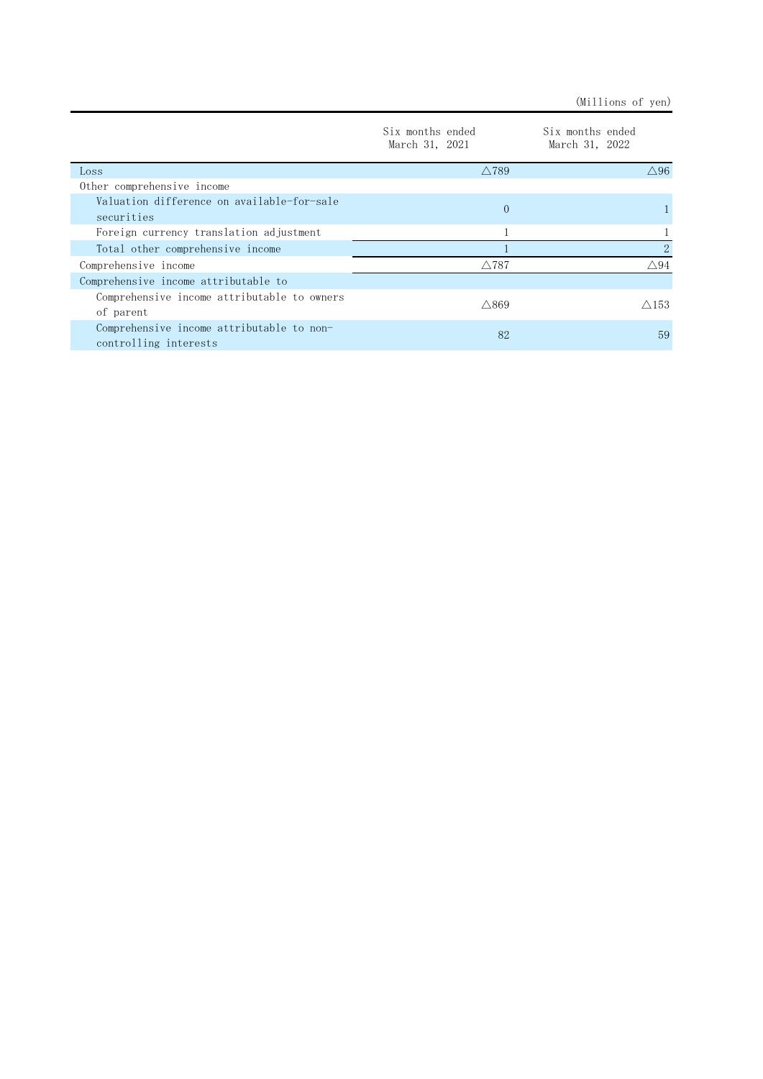(Millions of yen)

|                                                                    | Six months ended<br>March 31, 2021 | Six months ended<br>March 31, 2022 |
|--------------------------------------------------------------------|------------------------------------|------------------------------------|
| Loss                                                               | $\wedge$ 789                       | $\triangle$ 96                     |
| Other comprehensive income                                         |                                    |                                    |
| Valuation difference on available-for-sale<br>securities           | $\Omega$                           |                                    |
| Foreign currency translation adjustment                            |                                    |                                    |
| Total other comprehensive income                                   |                                    | $\mathcal{D}_{\mathcal{L}}$        |
| Comprehensive income                                               | $\triangle$ 787                    | $\triangle$ 94                     |
| Comprehensive income attributable to                               |                                    |                                    |
| Comprehensive income attributable to owners<br>of parent           | $\triangle$ 869                    | $\triangle$ 153                    |
| Comprehensive income attributable to non-<br>controlling interests | 82                                 | 59                                 |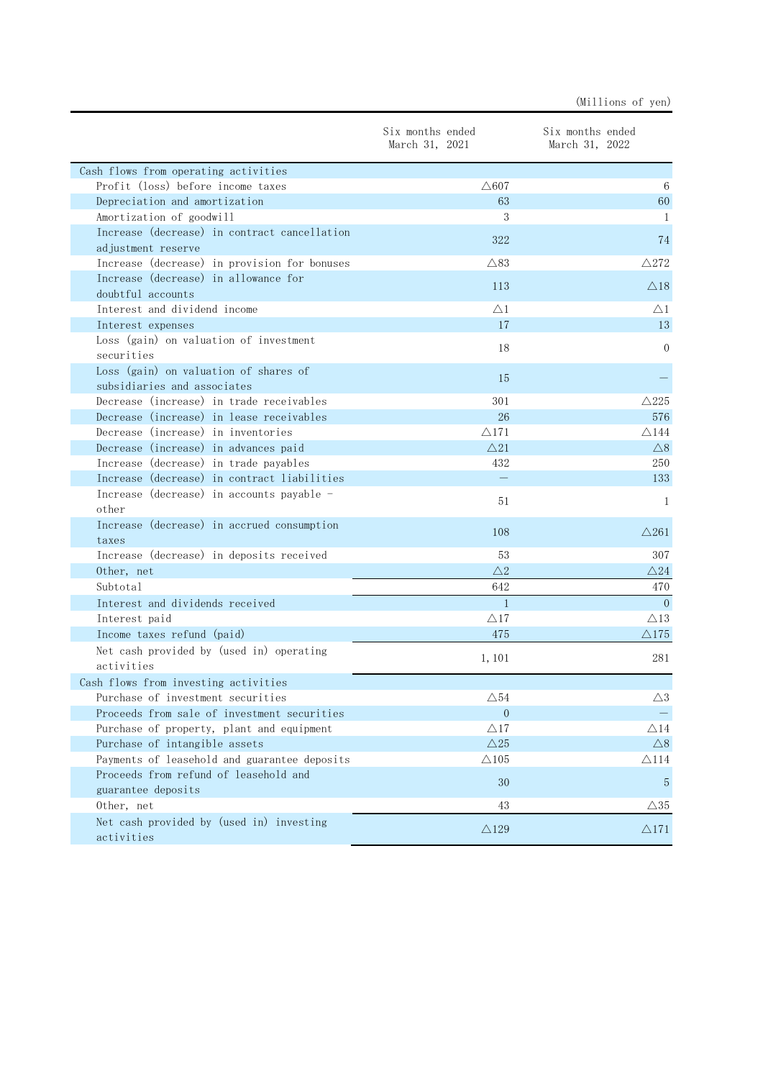|                                                        |                                    | (Millions of yen)                  |
|--------------------------------------------------------|------------------------------------|------------------------------------|
|                                                        | Six months ended<br>March 31, 2021 | Six months ended<br>March 31, 2022 |
| Cash flows from operating activities                   |                                    |                                    |
| Profit (loss) before income taxes                      | $\triangle 607$                    | 6                                  |
| Depreciation and amortization                          | 63                                 | 60                                 |
| Amortization of goodwill                               | 3                                  | -1                                 |
| Increase (decrease) in contract cancellation           | 322                                | 74                                 |
| adjustment reserve                                     |                                    |                                    |
| Increase (decrease) in provision for bonuses           | $\triangle$ 83                     | $\triangle$ 272                    |
| Increase (decrease) in allowance for                   | 113                                | $\triangle$ 18                     |
| doubtful accounts                                      |                                    |                                    |
| Interest and dividend income                           | $\triangle$ 1                      | $\triangle1$                       |
| Interest expenses                                      | 17                                 | 13                                 |
| Loss (gain) on valuation of investment<br>securities   | 18                                 | $\Omega$                           |
| Loss (gain) on valuation of shares of                  |                                    |                                    |
| subsidiaries and associates                            | 15                                 |                                    |
| Decrease (increase) in trade receivables               | 301                                | $\triangle$ 225                    |
| Decrease (increase) in lease receivables               | 26                                 | 576                                |
| Decrease (increase) in inventories                     | $\triangle$ 171                    | $\triangle$ 144                    |
| Decrease (increase) in advances paid                   | $\triangle$ 21                     | $\triangle$ 8                      |
| Increase (decrease) in trade payables                  | 432                                | 250                                |
| Increase (decrease) in contract liabilities            | $\equiv$                           | 133                                |
| Increase (decrease) in accounts payable -              |                                    |                                    |
| other                                                  | 51                                 | -1                                 |
| Increase (decrease) in accrued consumption             | 108                                | $\triangle$ 261                    |
| taxes                                                  |                                    |                                    |
| Increase (decrease) in deposits received               | 53                                 | 307                                |
| Other, net                                             | $\triangle2$                       | $\triangle 24$                     |
| Subtotal                                               | 642                                | 470                                |
| Interest and dividends received                        | $\mathbf{1}$                       | $\Omega$                           |
| Interest paid                                          | $\triangle$ 17                     | $\triangle$ 13                     |
| Income taxes refund (paid)                             | 475                                | $\triangle 175$                    |
| Net cash provided by (used in) operating               | 1, 101                             | 281                                |
| activities                                             |                                    |                                    |
| Cash flows from investing activities                   |                                    |                                    |
| Purchase of investment securities                      | $\triangle$ 54                     | $\triangle 3$                      |
| Proceeds from sale of investment securities            | $\overline{0}$                     |                                    |
| Purchase of property, plant and equipment              | $\triangle$ 17                     | $\triangle 14$                     |
| Purchase of intangible assets                          | $\triangle$ 25                     | $\bigtriangleup 8$                 |
| Payments of leasehold and guarantee deposits           | $\triangle$ 105                    | $\triangle$ 114                    |
| Proceeds from refund of leasehold and                  | 30                                 | 5                                  |
| guarantee deposits                                     |                                    |                                    |
| Other, net                                             | 43                                 | $\triangle 35$                     |
| Net cash provided by (used in) investing<br>activities | $\triangle$ 129                    | $\triangle$ 171                    |